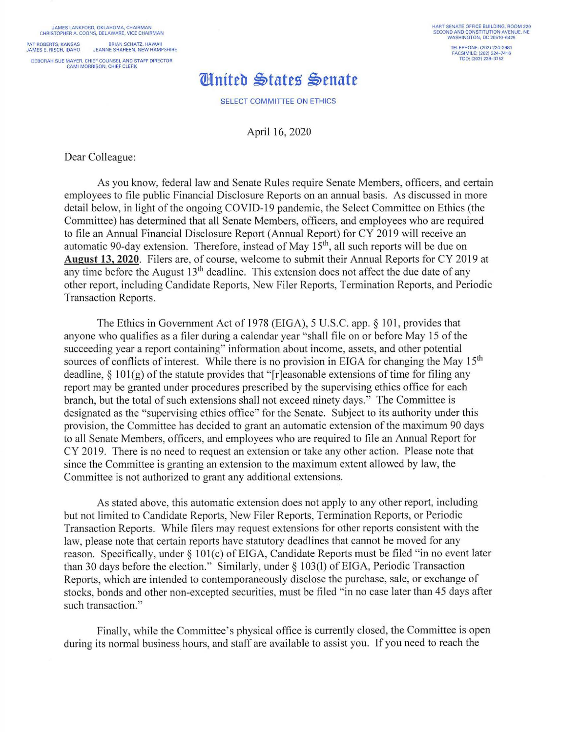JAMES LANKFORD, OKLAHOMA. CHAIRMAN CHRISTOPHER A. COONS, DELAWARE. VICE CHAIRMAN PAT ROBERTS, KANSAS BRIAN SCHATZ, HAWAII<br>JAMES E. RISCH, IDAHO JEANNE SHAHEEN, NEW HAMI **JEANNE SHAHEEN, NEW HAMPSHIRE** 

DEBORAH SUE MAYER. CHIEF COUNSEL AND STAFF DIRECTOR CAMI MORRISON, CHIEF CLERK

## **Hnited States Senate**

SELECT COMMITTEE ON ETHICS

April 16, 2020

Dear Colleague:

As you know, federal law and Senate Rules require Senate Members, officers, and certain employees to file public Financial Disclosure Reports on an annual basis. As discussed in more detail below, in light of the ongoing COVID-19 pandemic, the Select Committee on Ethics (the Committee) has determined that all Senate Members, officers, and employees who are required to file an Annual Financial Disclosure Report (Annual Report) for CY 2019 will receive an automatic 90-day extension. Therefore, instead of May  $15<sup>th</sup>$ , all such reports will be due on **August 13, 2020.** Filers are, of course, welcome to submit their Annual Reports for CY 2019 at any time before the August 13<sup>th</sup> deadline. This extension does not affect the due date of any other report, including Candidate Reports, New Filer Reports, Termination Reports, and Periodic Transaction Reports.

The Ethics in Government Act of 1978 (EIGA), 5 U.S.C. app. § 101, provides that anyone who qualifies as a filer during a calendar year "shall file on or before May 15 of the succeeding year a report containing" information about income, assets, and other potential sources of conflicts of interest. While there is no provision in EIGA for changing the May  $15<sup>th</sup>$ deadline,  $\S 101(g)$  of the statute provides that "[r]easonable extensions of time for filing any report may be granted under procedures prescribed by the supervising ethics office for each branch, but the total of such extensions shall not exceed ninety days. " The Committee is designated as the "supervising ethics office" for the Senate. Subject to its authority under this provision, the Committee has decided to grant an automatic extension of the maximum 90 days to all Senate Members, officers, and employees who are required to file an Annual Report for CY 2019. There is no need to request an extension or take any other action. Please note that since the Committee is granting an extension to the maximum extent allowed by law, the Committee is not authorized to grant any additional extensions.

As stated above, this automatic extension does not apply to any other report, including but not limited to Candidate Reports, New Filer Reports, Termination Reports, or Periodic Transaction Reports. While filers may request extensions for other reports consistent with the law, please note that certain reports have statutory deadlines that cannot be moved for any reason. Specifically, under  $\S$  101(c) of EIGA, Candidate Reports must be filed "in no event later than 30 days before the election." Similarly, under§ 1 03(1) of EIGA, Periodic Transaction Reports, which are intended to contemporaneously disclose the purchase, sale, or exchange of stocks, bonds and other non-excepted securities, must be filed "in no case later than 45 days after such transaction."

Finally, while the Committee's physical office is currently closed, the Committee is open during its normal business hours, and staff are available to assist you. If you need to reach the